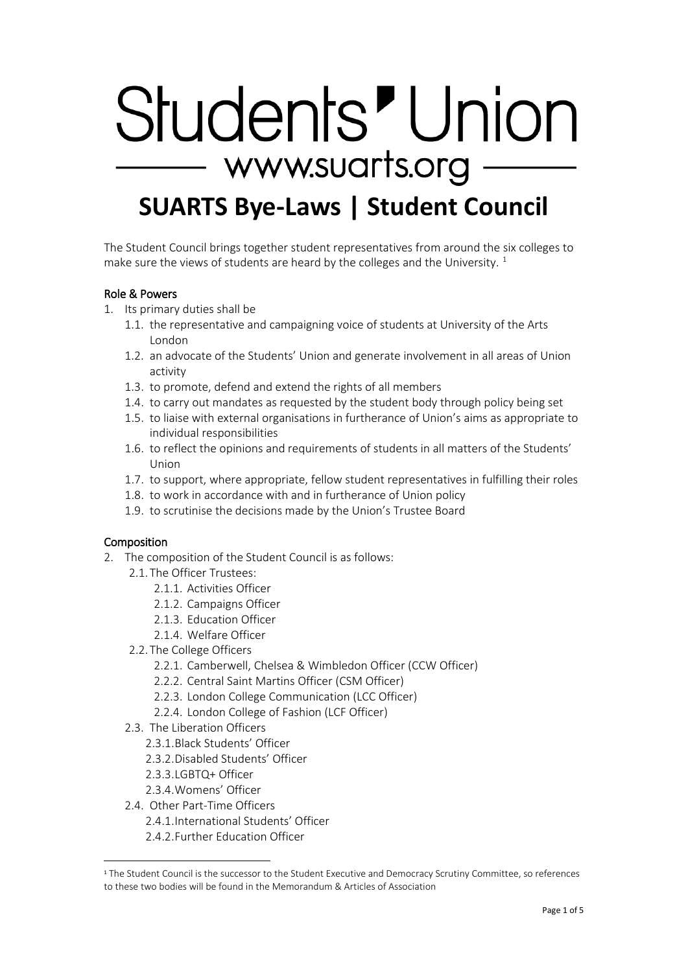# Students' Union - www.suarts.org -**SUARTS Bye-Laws | Student Council**

The Student Council brings together student representatives from around the six colleges to make sure the views of students are heard by the colleges and the University.  $1$ 

## Role & Powers

- 1. Its primary duties shall be
	- 1.1. the representative and campaigning voice of students at University of the Arts London
	- 1.2. an advocate of the Students' Union and generate involvement in all areas of Union activity
	- 1.3. to promote, defend and extend the rights of all members
	- 1.4. to carry out mandates as requested by the student body through policy being set
	- 1.5. to liaise with external organisations in furtherance of Union's aims as appropriate to individual responsibilities
	- 1.6. to reflect the opinions and requirements of students in all matters of the Students' Union
	- 1.7. to support, where appropriate, fellow student representatives in fulfilling their roles
	- 1.8. to work in accordance with and in furtherance of Union policy
	- 1.9. to scrutinise the decisions made by the Union's Trustee Board

#### Composition

 $\overline{a}$ 

- 2. The composition of the Student Council is as follows:
	- 2.1. The Officer Trustees:
		- 2.1.1. Activities Officer
		- 2.1.2. Campaigns Officer
		- 2.1.3. Education Officer
		- 2.1.4. Welfare Officer
	- 2.2. The College Officers
		- 2.2.1. Camberwell, Chelsea & Wimbledon Officer (CCW Officer)
		- 2.2.2. Central Saint Martins Officer (CSM Officer)
		- 2.2.3. London College Communication (LCC Officer)
		- 2.2.4. London College of Fashion (LCF Officer)
	- 2.3. The Liberation Officers
		- 2.3.1.Black Students' Officer
		- 2.3.2.Disabled Students' Officer
		- 2.3.3.LGBTQ+ Officer
		- 2.3.4.Womens' Officer
	- 2.4 Other Part-Time Officers
		- 2.4.1.International Students' Officer
		- 2.4.2.Further Education Officer

<span id="page-0-0"></span><sup>1</sup> The Student Council is the successor to the Student Executive and Democracy Scrutiny Committee, so references to these two bodies will be found in the Memorandum & Articles of Association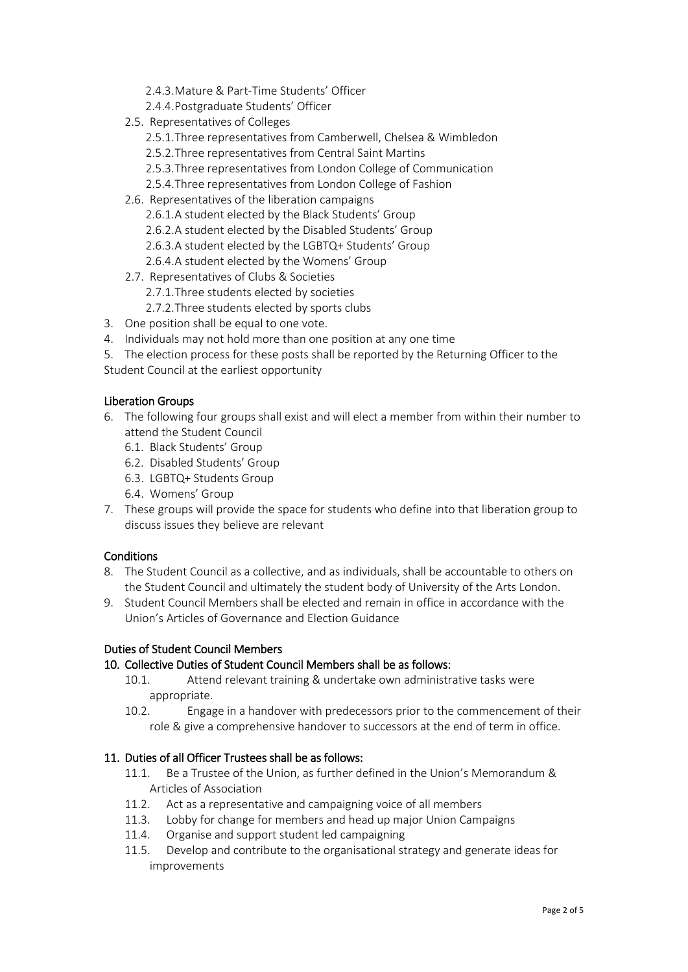- 2.4.3.Mature & Part-Time Students' Officer
- 2.4.4.Postgraduate Students' Officer
- 2.5. Representatives of Colleges
	- 2.5.1.Three representatives from Camberwell, Chelsea & Wimbledon
	- 2.5.2.Three representatives from Central Saint Martins
	- 2.5.3.Three representatives from London College of Communication
	- 2.5.4.Three representatives from London College of Fashion
- 2.6. Representatives of the liberation campaigns
	- 2.6.1.A student elected by the Black Students' Group
	- 2.6.2.A student elected by the Disabled Students' Group
	- 2.6.3.A student elected by the LGBTQ+ Students' Group
	- 2.6.4.A student elected by the Womens' Group
- 2.7. Representatives of Clubs & Societies
	- 2.7.1.Three students elected by societies
	- 2.7.2.Three students elected by sports clubs
- 3. One position shall be equal to one vote.
- 4. Individuals may not hold more than one position at any one time
- 5. The election process for these posts shall be reported by the Returning Officer to the Student Council at the earliest opportunity

#### Liberation Groups

- 6. The following four groups shall exist and will elect a member from within their number to attend the Student Council
	- 6.1. Black Students' Group
	- 6.2. Disabled Students' Group
	- 6.3. LGBTQ+ Students Group
	- 6.4. Womens' Group
- 7. These groups will provide the space for students who define into that liberation group to discuss issues they believe are relevant

## **Conditions**

- 8. The Student Council as a collective, and as individuals, shall be accountable to others on the Student Council and ultimately the student body of University of the Arts London.
- 9. Student Council Members shall be elected and remain in office in accordance with the Union's Articles of Governance and Election Guidance

## Duties of Student Council Members

## 10. Collective Duties of Student Council Members shall be as follows:

- 10.1. Attend relevant training & undertake own administrative tasks were appropriate.
- 10.2. Engage in a handover with predecessors prior to the commencement of their role & give a comprehensive handover to successors at the end of term in office.

#### 11. Duties of all Officer Trustees shall be as follows:

- 11.1. Be a Trustee of the Union, as further defined in the Union's Memorandum & Articles of Association
- 11.2. Act as a representative and campaigning voice of all members
- 11.3. Lobby for change for members and head up major Union Campaigns
- 11.4. Organise and support student led campaigning
- 11.5. Develop and contribute to the organisational strategy and generate ideas for improvements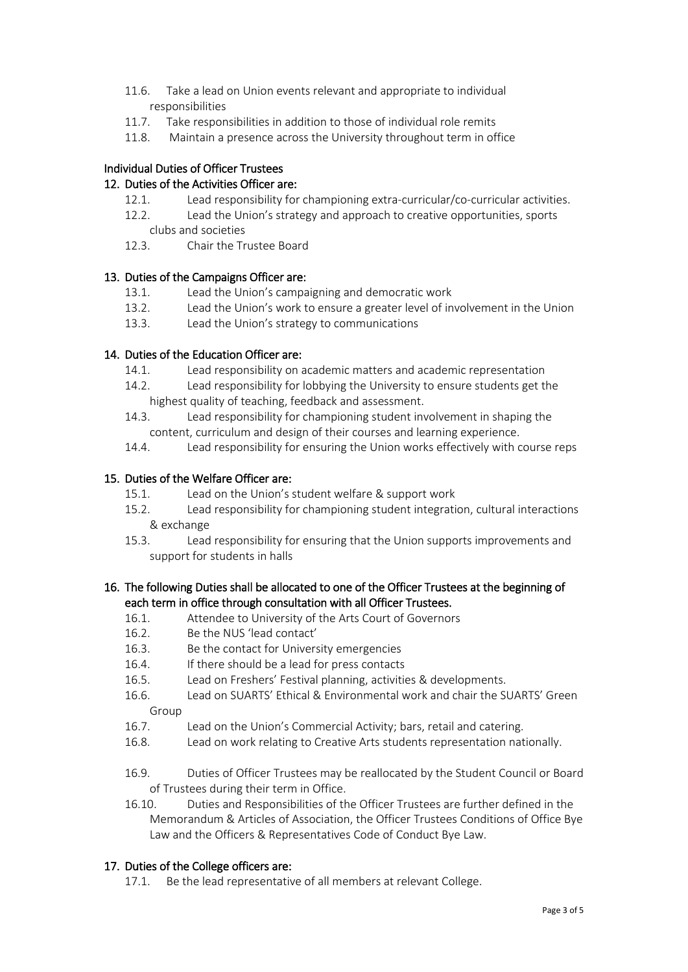- 11.6. Take a lead on Union events relevant and appropriate to individual responsibilities
- 11.7. Take responsibilities in addition to those of individual role remits
- 11.8. Maintain a presence across the University throughout term in office

## Individual Duties of Officer Trustees

## 12. Duties of the Activities Officer are:

- 12.1. Lead responsibility for championing extra-curricular/co-curricular activities.
- 12.2. Lead the Union's strategy and approach to creative opportunities, sports clubs and societies
- 12.3. Chair the Trustee Board

## 13. Duties of the Campaigns Officer are:

- 13.1. Lead the Union's campaigning and democratic work
- 13.2. Lead the Union's work to ensure a greater level of involvement in the Union
- 13.3. Lead the Union's strategy to communications

## 14. Duties of the Education Officer are:

- 14.1. Lead responsibility on academic matters and academic representation
- 14.2. Lead responsibility for lobbying the University to ensure students get the highest quality of teaching, feedback and assessment.
- 14.3. Lead responsibility for championing student involvement in shaping the content, curriculum and design of their courses and learning experience.
- 14.4. Lead responsibility for ensuring the Union works effectively with course reps

## 15. Duties of the Welfare Officer are:

- 15.1. Lead on the Union's student welfare & support work
- 15.2. Lead responsibility for championing student integration, cultural interactions & exchange
- 15.3. Lead responsibility for ensuring that the Union supports improvements and support for students in halls

## 16. The following Duties shall be allocated to one of the Officer Trustees at the beginning of each term in office through consultation with all Officer Trustees.

- 16.1. Attendee to University of the Arts Court of Governors
- 16.2. Be the NUS 'lead contact'
- 16.3. Be the contact for University emergencies
- 16.4. If there should be a lead for press contacts
- 16.5. Lead on Freshers' Festival planning, activities & developments.
- 16.6. Lead on SUARTS' Ethical & Environmental work and chair the SUARTS' Green Group
- 16.7. Lead on the Union's Commercial Activity; bars, retail and catering.
- 16.8. Lead on work relating to Creative Arts students representation nationally.
- 16.9. Duties of Officer Trustees may be reallocated by the Student Council or Board of Trustees during their term in Office.
- 16.10. Duties and Responsibilities of the Officer Trustees are further defined in the Memorandum & Articles of Association, the Officer Trustees Conditions of Office Bye Law and the Officers & Representatives Code of Conduct Bye Law.

## 17. Duties of the College officers are:

17.1. Be the lead representative of all members at relevant College.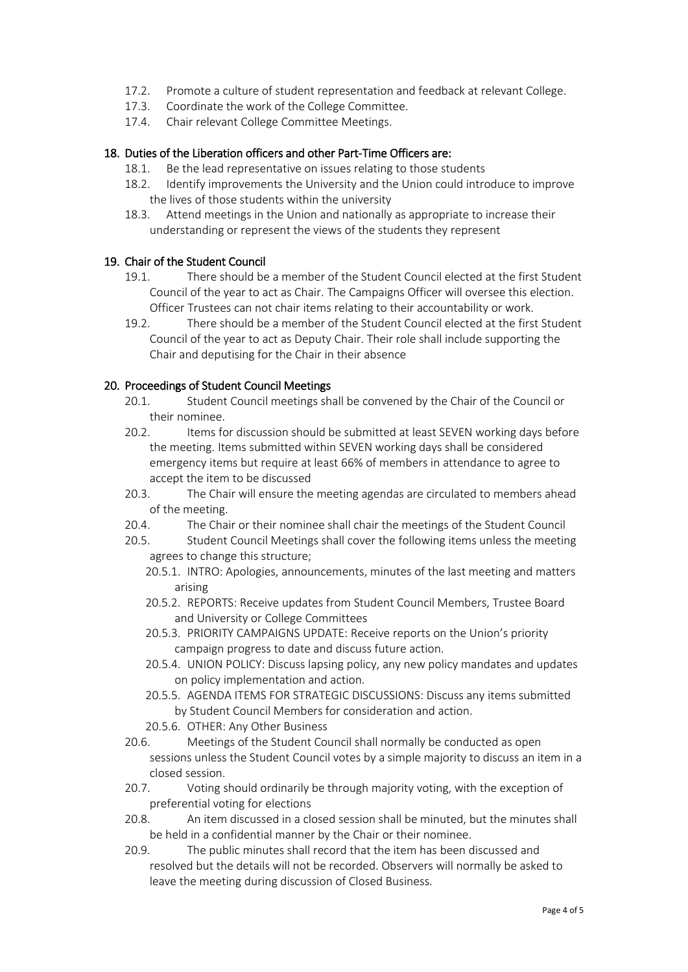- 17.2. Promote a culture of student representation and feedback at relevant College.
- 17.3. Coordinate the work of the College Committee.
- 17.4. Chair relevant College Committee Meetings.

## 18. Duties of the Liberation officers and other Part-Time Officers are:

- 18.1. Be the lead representative on issues relating to those students
- 18.2. Identify improvements the University and the Union could introduce to improve the lives of those students within the university
- 18.3. Attend meetings in the Union and nationally as appropriate to increase their understanding or represent the views of the students they represent

## 19. Chair of the Student Council

- 19.1. There should be a member of the Student Council elected at the first Student Council of the year to act as Chair. The Campaigns Officer will oversee this election. Officer Trustees can not chair items relating to their accountability or work.
- 19.2. There should be a member of the Student Council elected at the first Student Council of the year to act as Deputy Chair. Their role shall include supporting the Chair and deputising for the Chair in their absence

## 20. Proceedings of Student Council Meetings

- 20.1. Student Council meetings shall be convened by the Chair of the Council or their nominee.
- 20.2. Items for discussion should be submitted at least SEVEN working days before the meeting. Items submitted within SEVEN working days shall be considered emergency items but require at least 66% of members in attendance to agree to accept the item to be discussed
- 20.3. The Chair will ensure the meeting agendas are circulated to members ahead of the meeting.
- 20.4. The Chair or their nominee shall chair the meetings of the Student Council
- 20.5. Student Council Meetings shall cover the following items unless the meeting agrees to change this structure;
	- 20.5.1. INTRO: Apologies, announcements, minutes of the last meeting and matters arising
	- 20.5.2. REPORTS: Receive updates from Student Council Members, Trustee Board and University or College Committees
	- 20.5.3. PRIORITY CAMPAIGNS UPDATE: Receive reports on the Union's priority campaign progress to date and discuss future action.
	- 20.5.4. UNION POLICY: Discuss lapsing policy, any new policy mandates and updates on policy implementation and action.
	- 20.5.5. AGENDA ITEMS FOR STRATEGIC DISCUSSIONS: Discuss any items submitted by Student Council Members for consideration and action.
	- 20.5.6. OTHER: Any Other Business
- 20.6. Meetings of the Student Council shall normally be conducted as open sessions unless the Student Council votes by a simple majority to discuss an item in a closed session.
- 20.7. Voting should ordinarily be through majority voting, with the exception of preferential voting for elections
- 20.8. An item discussed in a closed session shall be minuted, but the minutes shall be held in a confidential manner by the Chair or their nominee.
- 20.9. The public minutes shall record that the item has been discussed and resolved but the details will not be recorded. Observers will normally be asked to leave the meeting during discussion of Closed Business.